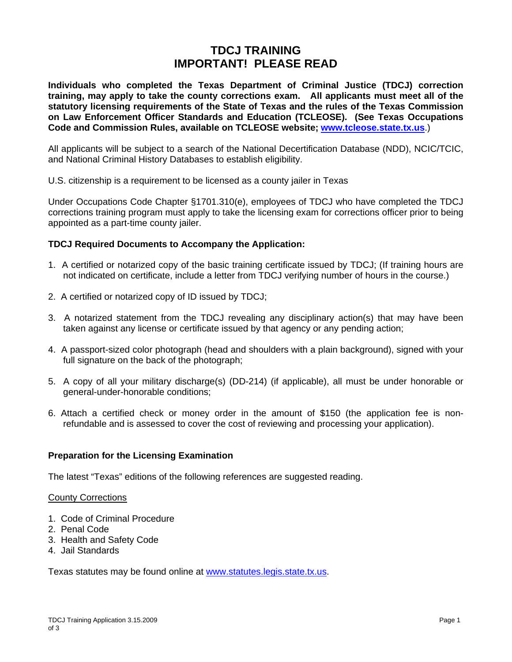# **TDCJ TRAINING IMPORTANT! PLEASE READ**

**Individuals who completed the Texas Department of Criminal Justice (TDCJ) correction training, may apply to take the county corrections exam. All applicants must meet all of the statutory licensing requirements of the State of Texas and the rules of the Texas Commission on Law Enforcement Officer Standards and Education (TCLEOSE). (See Texas Occupations Code and Commission Rules, available on TCLEOSE website; www.tcleose.state.tx.us**.)

All applicants will be subject to a search of the National Decertification Database (NDD), NCIC/TCIC, and National Criminal History Databases to establish eligibility.

U.S. citizenship is a requirement to be licensed as a county jailer in Texas

Under Occupations Code Chapter §1701.310(e), employees of TDCJ who have completed the TDCJ corrections training program must apply to take the licensing exam for corrections officer prior to being appointed as a part-time county jailer.

## **TDCJ Required Documents to Accompany the Application:**

- 1. A certified or notarized copy of the basic training certificate issued by TDCJ; (If training hours are not indicated on certificate, include a letter from TDCJ verifying number of hours in the course.)
- 2. A certified or notarized copy of ID issued by TDCJ;
- 3. A notarized statement from the TDCJ revealing any disciplinary action(s) that may have been taken against any license or certificate issued by that agency or any pending action;
- 4. A passport-sized color photograph (head and shoulders with a plain background), signed with your full signature on the back of the photograph;
- 5. A copy of all your military discharge(s) (DD-214) (if applicable), all must be under honorable or general-under-honorable conditions;
- 6. Attach a certified check or money order in the amount of \$150 (the application fee is nonrefundable and is assessed to cover the cost of reviewing and processing your application).

## **Preparation for the Licensing Examination**

The latest "Texas" editions of the following references are suggested reading.

#### County Corrections

- 1. Code of Criminal Procedure
- 2. Penal Code
- 3. Health and Safety Code
- 4. Jail Standards

Texas statutes may be found online at www.statutes.legis.state.tx.us.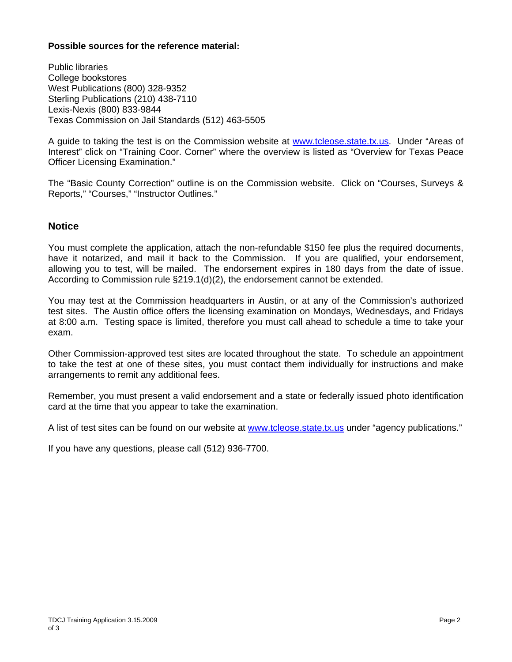#### **Possible sources for the reference material:**

Public libraries College bookstores West Publications (800) 328-9352 Sterling Publications (210) 438-7110 Lexis-Nexis (800) 833-9844 Texas Commission on Jail Standards (512) 463-5505

A guide to taking the test is on the Commission website at www.tcleose.state.tx.us. Under "Areas of Interest" click on "Training Coor. Corner" where the overview is listed as "Overview for Texas Peace Officer Licensing Examination."

The "Basic County Correction" outline is on the Commission website. Click on "Courses, Surveys & Reports," "Courses," "Instructor Outlines."

# **Notice**

You must complete the application, attach the non-refundable \$150 fee plus the required documents, have it notarized, and mail it back to the Commission. If you are qualified, your endorsement, allowing you to test, will be mailed. The endorsement expires in 180 days from the date of issue. According to Commission rule §219.1(d)(2), the endorsement cannot be extended.

You may test at the Commission headquarters in Austin, or at any of the Commission's authorized test sites. The Austin office offers the licensing examination on Mondays, Wednesdays, and Fridays at 8:00 a.m. Testing space is limited, therefore you must call ahead to schedule a time to take your exam.

Other Commission-approved test sites are located throughout the state. To schedule an appointment to take the test at one of these sites, you must contact them individually for instructions and make arrangements to remit any additional fees.

Remember, you must present a valid endorsement and a state or federally issued photo identification card at the time that you appear to take the examination.

A list of test sites can be found on our website at www.tcleose.state.tx.us under "agency publications."

If you have any questions, please call (512) 936-7700.